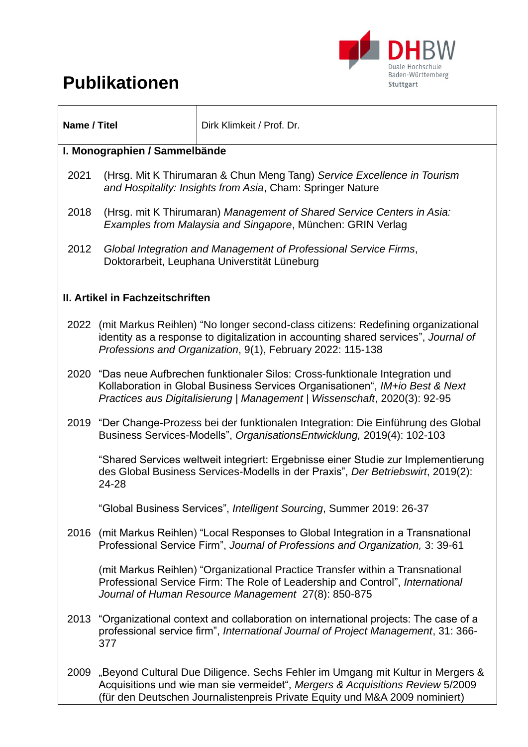# **Publikationen**



| Name / Titel                     |                                                                                                                                                                                                                                                | Dirk Klimkeit / Prof. Dr.                                                                                                                                                                                             |
|----------------------------------|------------------------------------------------------------------------------------------------------------------------------------------------------------------------------------------------------------------------------------------------|-----------------------------------------------------------------------------------------------------------------------------------------------------------------------------------------------------------------------|
| I. Monographien / Sammelbände    |                                                                                                                                                                                                                                                |                                                                                                                                                                                                                       |
| 2021                             | (Hrsg. Mit K Thirumaran & Chun Meng Tang) Service Excellence in Tourism<br>and Hospitality: Insights from Asia, Cham: Springer Nature                                                                                                          |                                                                                                                                                                                                                       |
| 2018                             | (Hrsg. mit K Thirumaran) Management of Shared Service Centers in Asia:<br>Examples from Malaysia and Singapore, München: GRIN Verlag                                                                                                           |                                                                                                                                                                                                                       |
| 2012                             | Global Integration and Management of Professional Service Firms,<br>Doktorarbeit, Leuphana Universtität Lüneburg                                                                                                                               |                                                                                                                                                                                                                       |
| II. Artikel in Fachzeitschriften |                                                                                                                                                                                                                                                |                                                                                                                                                                                                                       |
| 2022                             | (mit Markus Reihlen) "No longer second-class citizens: Redefining organizational<br>identity as a response to digitalization in accounting shared services", Journal of<br>Professions and Organization, 9(1), February 2022: 115-138          |                                                                                                                                                                                                                       |
|                                  | 2020 "Das neue Aufbrechen funktionaler Silos: Cross-funktionale Integration und<br>Kollaboration in Global Business Services Organisationen", IM+io Best & Next<br>Practices aus Digitalisierung   Management   Wissenschaft, 2020(3): 92-95   |                                                                                                                                                                                                                       |
|                                  |                                                                                                                                                                                                                                                | 2019 "Der Change-Prozess bei der funktionalen Integration: Die Einführung des Global<br>Business Services-Modells", Organisations Entwicklung, 2019(4): 102-103                                                       |
|                                  | 24-28                                                                                                                                                                                                                                          | "Shared Services weltweit integriert: Ergebnisse einer Studie zur Implementierung<br>des Global Business Services-Modells in der Praxis", Der Betriebswirt, 2019(2):                                                  |
|                                  |                                                                                                                                                                                                                                                | Global Business Services", Intelligent Sourcing, Summer 2019: 26-37                                                                                                                                                   |
| 2016                             |                                                                                                                                                                                                                                                | (mit Markus Reihlen) "Local Responses to Global Integration in a Transnational<br>Professional Service Firm", Journal of Professions and Organization, 3: 39-61                                                       |
|                                  |                                                                                                                                                                                                                                                | (mit Markus Reihlen) "Organizational Practice Transfer within a Transnational<br>Professional Service Firm: The Role of Leadership and Control", International<br>Journal of Human Resource Management 27(8): 850-875 |
|                                  | 377                                                                                                                                                                                                                                            | 2013 "Organizational context and collaboration on international projects: The case of a<br>professional service firm", International Journal of Project Management, 31: 366-                                          |
| 2009                             | "Beyond Cultural Due Diligence. Sechs Fehler im Umgang mit Kultur in Mergers &<br>Acquisitions und wie man sie vermeidet", Mergers & Acquisitions Review 5/2009<br>(für den Deutschen Journalistenpreis Private Equity und M&A 2009 nominiert) |                                                                                                                                                                                                                       |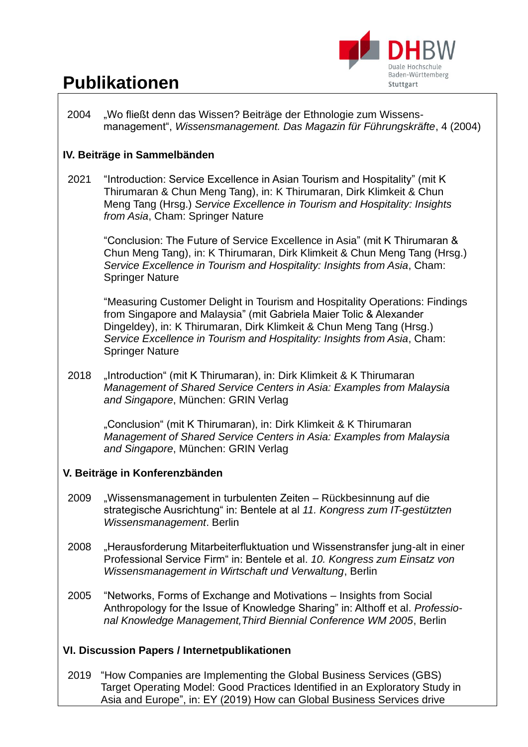

## **Publikationen**

2004 "Wo fließt denn das Wissen? Beiträge der Ethnologie zum Wissensmanagement", *Wissensmanagement. Das Magazin für Führungskräfte*, 4 (2004)

#### **IV. Beiträge in Sammelbänden**

2021 "Introduction: Service Excellence in Asian Tourism and Hospitality" (mit K Thirumaran & Chun Meng Tang), in: K Thirumaran, Dirk Klimkeit & Chun Meng Tang (Hrsg.) *Service Excellence in Tourism and Hospitality: Insights from Asia*, Cham: Springer Nature

> "Conclusion: The Future of Service Excellence in Asia" (mit K Thirumaran & Chun Meng Tang), in: K Thirumaran, Dirk Klimkeit & Chun Meng Tang (Hrsg.) *Service Excellence in Tourism and Hospitality: Insights from Asia*, Cham: Springer Nature

> "Measuring Customer Delight in Tourism and Hospitality Operations: Findings from Singapore and Malaysia" (mit Gabriela Maier Tolic & Alexander Dingeldey), in: K Thirumaran, Dirk Klimkeit & Chun Meng Tang (Hrsg.) *Service Excellence in Tourism and Hospitality: Insights from Asia*, Cham: Springer Nature

2018 "Introduction" (mit K Thirumaran), in: Dirk Klimkeit & K Thirumaran *Management of Shared Service Centers in Asia: Examples from Malaysia and Singapore*, München: GRIN Verlag

"Conclusion" (mit K Thirumaran), in: Dirk Klimkeit & K Thirumaran *Management of Shared Service Centers in Asia: Examples from Malaysia and Singapore*, München: GRIN Verlag

#### **V. Beiträge in Konferenzbänden**

- 2009 "Wissensmanagement in turbulenten Zeiten Rückbesinnung auf die strategische Ausrichtung" in: Bentele at al *11. Kongress zum IT-gestützten Wissensmanagement*. Berlin
- 2008 "Herausforderung Mitarbeiterfluktuation und Wissenstransfer jung-alt in einer Professional Service Firm" in: Bentele et al. *10. Kongress zum Einsatz von Wissensmanagement in Wirtschaft und Verwaltung*, Berlin
- 2005 "Networks, Forms of Exchange and Motivations Insights from Social Anthropology for the Issue of Knowledge Sharing" in: Althoff et al. *Professional Knowledge Management,Third Biennial Conference WM 2005*, Berlin

#### **VI. Discussion Papers / Internetpublikationen**

2019 "How Companies are Implementing the Global Business Services (GBS) Target Operating Model: Good Practices Identified in an Exploratory Study in Asia and Europe", in: EY (2019) How can Global Business Services drive